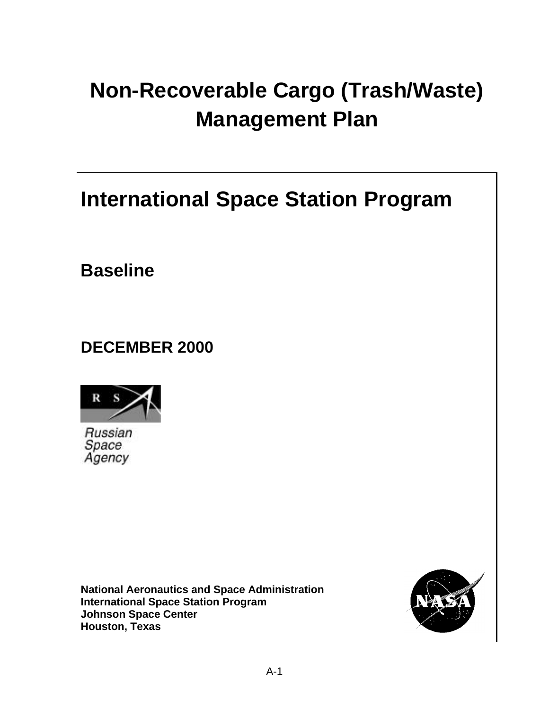# **Non-Recoverable Cargo (Trash/Waste) Management Plan**

**International Space Station Program**

**Baseline**

**DECEMBER 2000**



Russian Space Agency

**National Aeronautics and Space Administration International Space Station Program Johnson Space Center Houston, Texas**

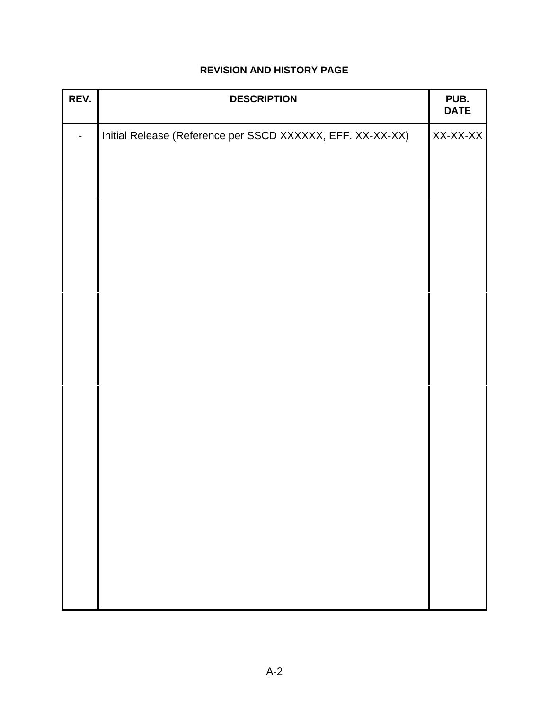| REV. | <b>DESCRIPTION</b>                                         | PUB.<br><b>DATE</b> |
|------|------------------------------------------------------------|---------------------|
|      | Initial Release (Reference per SSCD XXXXXX, EFF. XX-XX-XX) | XX-XX-XX            |
|      |                                                            |                     |
|      |                                                            |                     |
|      |                                                            |                     |
|      |                                                            |                     |
|      |                                                            |                     |
|      |                                                            |                     |
|      |                                                            |                     |
|      |                                                            |                     |
|      |                                                            |                     |
|      |                                                            |                     |
|      |                                                            |                     |
|      |                                                            |                     |
|      |                                                            |                     |
|      |                                                            |                     |
|      |                                                            |                     |

## **REVISION AND HISTORY PAGE**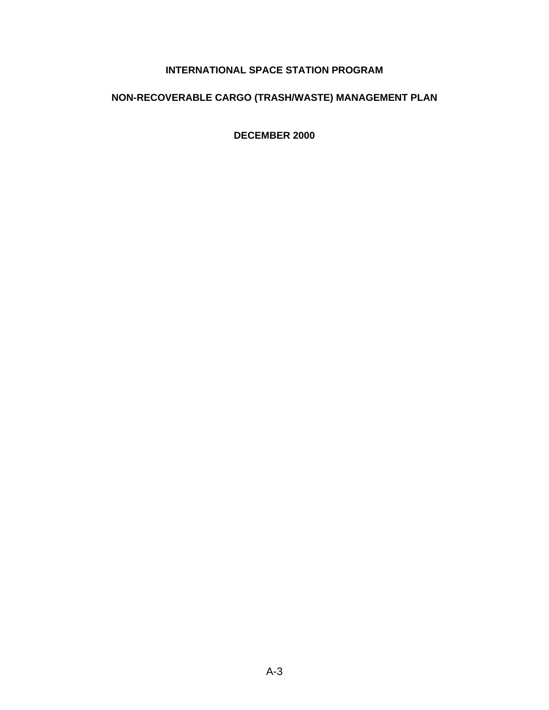## **INTERNATIONAL SPACE STATION PROGRAM**

## **NON-RECOVERABLE CARGO (TRASH/WASTE) MANAGEMENT PLAN**

**DECEMBER 2000**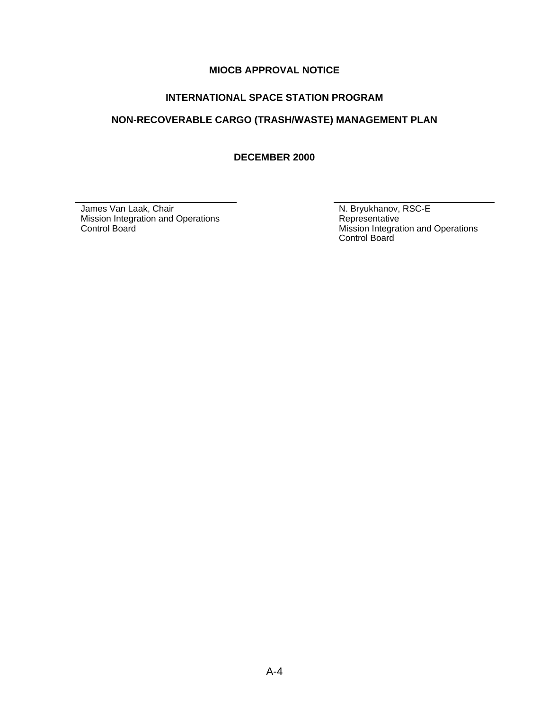#### **MIOCB APPROVAL NOTICE**

#### **INTERNATIONAL SPACE STATION PROGRAM**

## **NON-RECOVERABLE CARGO (TRASH/WASTE) MANAGEMENT PLAN**

**DECEMBER 2000**

James Van Laak, Chair Mission Integration and Operations Control Board

N. Bryukhanov, RSC-E Representative Mission Integration and Operations Control Board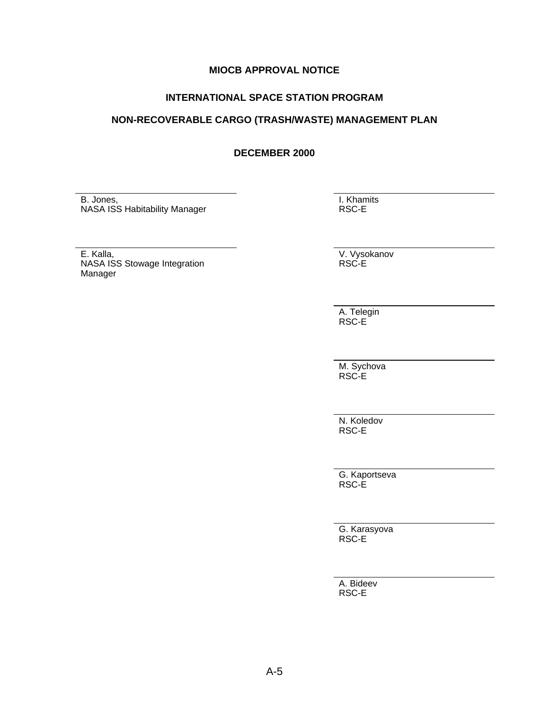#### **MIOCB APPROVAL NOTICE**

#### **INTERNATIONAL SPACE STATION PROGRAM**

#### **NON-RECOVERABLE CARGO (TRASH/WASTE) MANAGEMENT PLAN**

#### **DECEMBER 2000**

B. Jones, NASA ISS Habitability Manager I. Khamits RSC-E

E. Kalla, NASA ISS Stowage Integration Manager

V. Vysokanov RSC-E

A. Telegin RSC-E

M. Sychova RSC-E

N. Koledov RSC-E

G. Kaportseva RSC-E

G. Karasyova RSC-E

A. Bideev RSC-E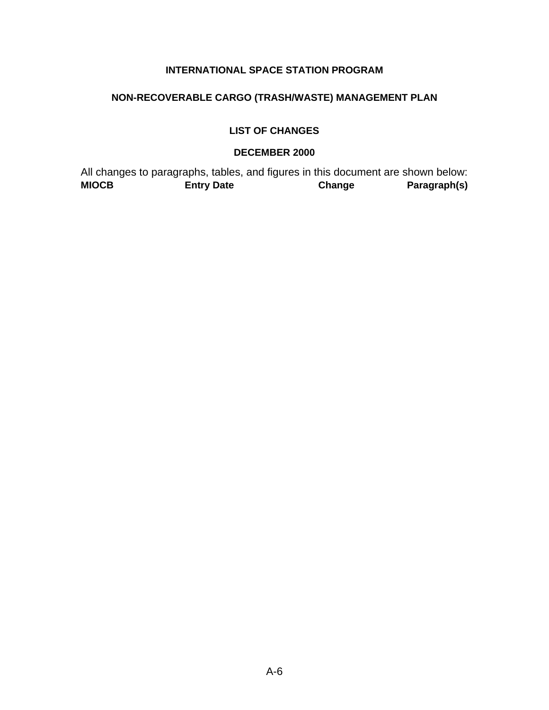## **INTERNATIONAL SPACE STATION PROGRAM**

## **NON-RECOVERABLE CARGO (TRASH/WASTE) MANAGEMENT PLAN**

#### **LIST OF CHANGES**

#### **DECEMBER 2000**

All changes to paragraphs, tables, and figures in this document are shown below:<br> **MIOCB** Entry Date Change Paragraph(s) **MIOCB Entry Date Change Paragraph(s)**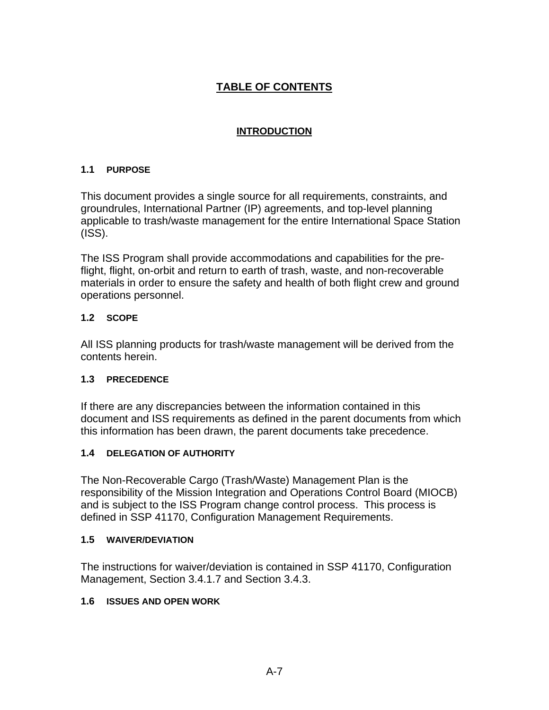## **TABLE OF CONTENTS**

## **INTRODUCTION**

## **1.1 PURPOSE**

This document provides a single source for all requirements, constraints, and groundrules, International Partner (IP) agreements, and top-level planning applicable to trash/waste management for the entire International Space Station (ISS).

The ISS Program shall provide accommodations and capabilities for the preflight, flight, on-orbit and return to earth of trash, waste, and non-recoverable materials in order to ensure the safety and health of both flight crew and ground operations personnel.

#### **1.2 SCOPE**

All ISS planning products for trash/waste management will be derived from the contents herein.

## **1.3 PRECEDENCE**

If there are any discrepancies between the information contained in this document and ISS requirements as defined in the parent documents from which this information has been drawn, the parent documents take precedence.

## **1.4 DELEGATION OF AUTHORITY**

The Non-Recoverable Cargo (Trash/Waste) Management Plan is the responsibility of the Mission Integration and Operations Control Board (MIOCB) and is subject to the ISS Program change control process. This process is defined in SSP 41170, Configuration Management Requirements.

#### **1.5 WAIVER/DEVIATION**

The instructions for waiver/deviation is contained in SSP 41170, Configuration Management, Section 3.4.1.7 and Section 3.4.3.

## **1.6 ISSUES AND OPEN WORK**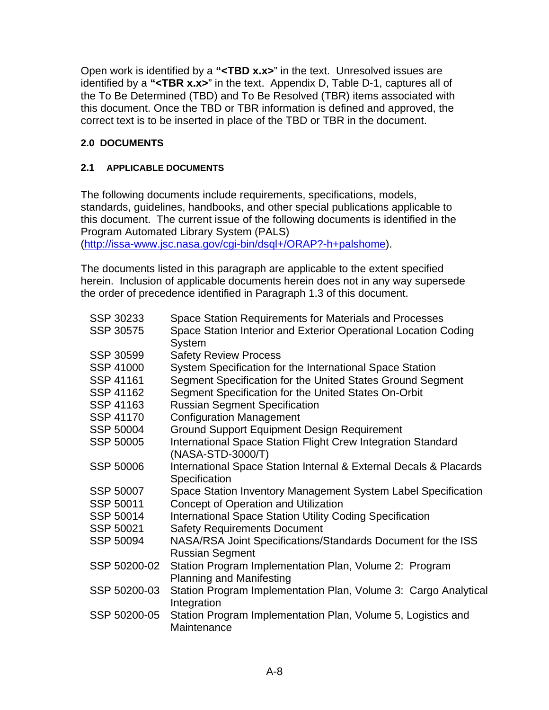Open work is identified by a **"<TBD x.x>**" in the text. Unresolved issues are identified by a **"<TBR x.x>**" in the text. Appendix D, Table D-1, captures all of the To Be Determined (TBD) and To Be Resolved (TBR) items associated with this document. Once the TBD or TBR information is defined and approved, the correct text is to be inserted in place of the TBD or TBR in the document.

## **2.0 DOCUMENTS**

## **2.1 APPLICABLE DOCUMENTS**

The following documents include requirements, specifications, models, standards, guidelines, handbooks, and other special publications applicable to this document. The current issue of the following documents is identified in the Program Automated Library System (PALS) (http://issa-www.jsc.nasa.gov/cgi-bin/dsql+/ORAP?-h+palshome).

The documents listed in this paragraph are applicable to the extent specified herein. Inclusion of applicable documents herein does not in any way supersede the order of precedence identified in Paragraph 1.3 of this document.

| SSP 30233        | Space Station Requirements for Materials and Processes                                    |
|------------------|-------------------------------------------------------------------------------------------|
| <b>SSP 30575</b> | Space Station Interior and Exterior Operational Location Coding<br><b>System</b>          |
| SSP 30599        | <b>Safety Review Process</b>                                                              |
| <b>SSP 41000</b> | System Specification for the International Space Station                                  |
| SSP 41161        | Segment Specification for the United States Ground Segment                                |
| SSP 41162        | Segment Specification for the United States On-Orbit                                      |
| SSP 41163        | <b>Russian Segment Specification</b>                                                      |
| SSP 41170        | <b>Configuration Management</b>                                                           |
| SSP 50004        | <b>Ground Support Equipment Design Requirement</b>                                        |
| <b>SSP 50005</b> | International Space Station Flight Crew Integration Standard<br>(NASA-STD-3000/T)         |
| <b>SSP 50006</b> | International Space Station Internal & External Decals & Placards<br>Specification        |
| SSP 50007        | Space Station Inventory Management System Label Specification                             |
| SSP 50011        | <b>Concept of Operation and Utilization</b>                                               |
| SSP 50014        | <b>International Space Station Utility Coding Specification</b>                           |
| SSP 50021        | <b>Safety Requirements Document</b>                                                       |
| SSP 50094        | NASA/RSA Joint Specifications/Standards Document for the ISS<br><b>Russian Segment</b>    |
| SSP 50200-02     | Station Program Implementation Plan, Volume 2: Program<br><b>Planning and Manifesting</b> |
| SSP 50200-03     | Station Program Implementation Plan, Volume 3: Cargo Analytical<br>Integration            |
| SSP 50200-05     | Station Program Implementation Plan, Volume 5, Logistics and<br>Maintenance               |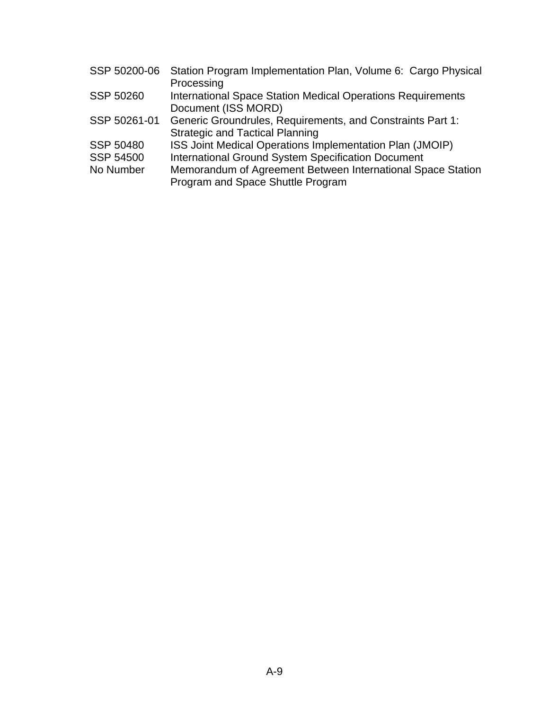| SSP 50200-06     | Station Program Implementation Plan, Volume 6: Cargo Physical      |
|------------------|--------------------------------------------------------------------|
|                  | Processing                                                         |
| SSP 50260        | <b>International Space Station Medical Operations Requirements</b> |
|                  | Document (ISS MORD)                                                |
| SSP 50261-01     | Generic Groundrules, Requirements, and Constraints Part 1:         |
|                  | <b>Strategic and Tactical Planning</b>                             |
| <b>SSP 50480</b> | ISS Joint Medical Operations Implementation Plan (JMOIP)           |
| <b>SSP 54500</b> | International Ground System Specification Document                 |
| No Number        | Memorandum of Agreement Between International Space Station        |
|                  | Program and Space Shuttle Program                                  |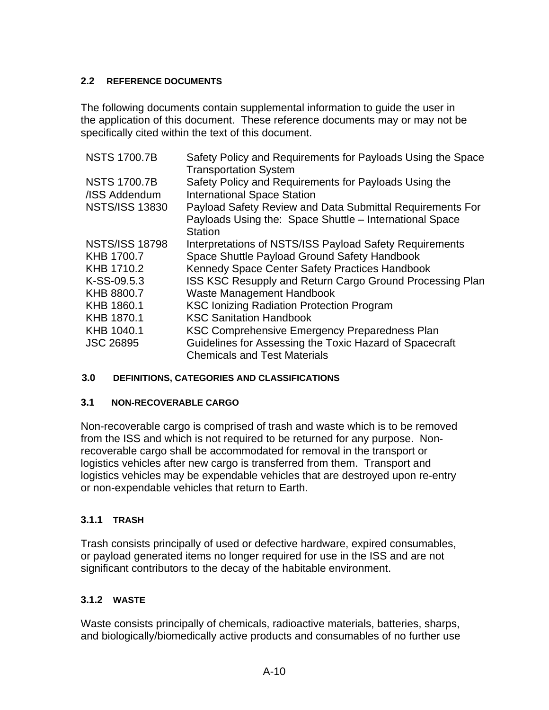## **2.2 REFERENCE DOCUMENTS**

The following documents contain supplemental information to guide the user in the application of this document. These reference documents may or may not be specifically cited within the text of this document.

| <b>NSTS 1700.7B</b>   | Safety Policy and Requirements for Payloads Using the Space |
|-----------------------|-------------------------------------------------------------|
|                       | <b>Transportation System</b>                                |
| <b>NSTS 1700.7B</b>   | Safety Policy and Requirements for Payloads Using the       |
| /ISS Addendum         | <b>International Space Station</b>                          |
| <b>NSTS/ISS 13830</b> | Payload Safety Review and Data Submittal Requirements For   |
|                       | Payloads Using the: Space Shuttle - International Space     |
|                       | <b>Station</b>                                              |
| <b>NSTS/ISS 18798</b> | Interpretations of NSTS/ISS Payload Safety Requirements     |
| KHB 1700.7            | Space Shuttle Payload Ground Safety Handbook                |
| KHB 1710.2            | Kennedy Space Center Safety Practices Handbook              |
| K-SS-09.5.3           | ISS KSC Resupply and Return Cargo Ground Processing Plan    |
| KHB 8800.7            | <b>Waste Management Handbook</b>                            |
| KHB 1860.1            | <b>KSC Ionizing Radiation Protection Program</b>            |
| KHB 1870.1            | <b>KSC Sanitation Handbook</b>                              |
| KHB 1040.1            | KSC Comprehensive Emergency Preparedness Plan               |
| <b>JSC 26895</b>      | Guidelines for Assessing the Toxic Hazard of Spacecraft     |
|                       | <b>Chemicals and Test Materials</b>                         |

## **3.0 DEFINITIONS, CATEGORIES AND CLASSIFICATIONS**

## **3.1 NON-RECOVERABLE CARGO**

Non-recoverable cargo is comprised of trash and waste which is to be removed from the ISS and which is not required to be returned for any purpose. Nonrecoverable cargo shall be accommodated for removal in the transport or logistics vehicles after new cargo is transferred from them. Transport and logistics vehicles may be expendable vehicles that are destroyed upon re-entry or non-expendable vehicles that return to Earth.

## **3.1.1 TRASH**

Trash consists principally of used or defective hardware, expired consumables, or payload generated items no longer required for use in the ISS and are not significant contributors to the decay of the habitable environment.

## **3.1.2 WASTE**

Waste consists principally of chemicals, radioactive materials, batteries, sharps, and biologically/biomedically active products and consumables of no further use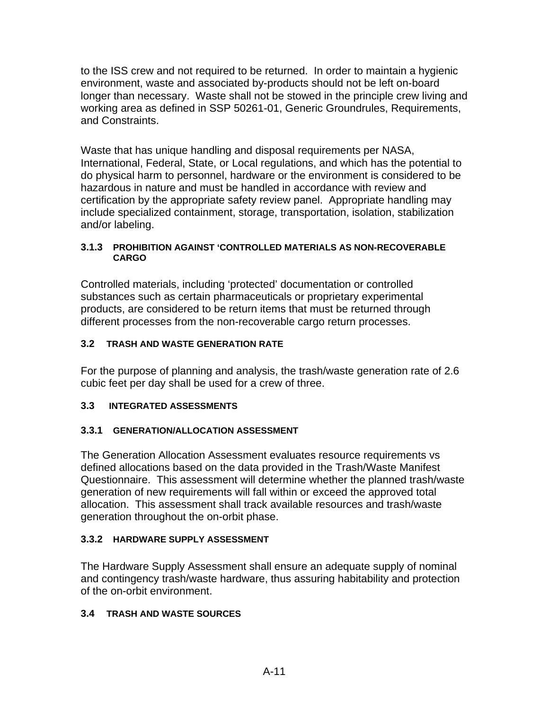to the ISS crew and not required to be returned. In order to maintain a hygienic environment, waste and associated by-products should not be left on-board longer than necessary. Waste shall not be stowed in the principle crew living and working area as defined in SSP 50261-01, Generic Groundrules, Requirements, and Constraints.

Waste that has unique handling and disposal requirements per NASA, International, Federal, State, or Local regulations, and which has the potential to do physical harm to personnel, hardware or the environment is considered to be hazardous in nature and must be handled in accordance with review and certification by the appropriate safety review panel. Appropriate handling may include specialized containment, storage, transportation, isolation, stabilization and/or labeling.

#### **3.1.3 PROHIBITION AGAINST 'CONTROLLED MATERIALS AS NON-RECOVERABLE CARGO**

Controlled materials, including 'protected' documentation or controlled substances such as certain pharmaceuticals or proprietary experimental products, are considered to be return items that must be returned through different processes from the non-recoverable cargo return processes.

## **3.2 TRASH AND WASTE GENERATION RATE**

For the purpose of planning and analysis, the trash/waste generation rate of 2.6 cubic feet per day shall be used for a crew of three.

## **3.3 INTEGRATED ASSESSMENTS**

## **3.3.1 GENERATION/ALLOCATION ASSESSMENT**

The Generation Allocation Assessment evaluates resource requirements vs defined allocations based on the data provided in the Trash/Waste Manifest Questionnaire. This assessment will determine whether the planned trash/waste generation of new requirements will fall within or exceed the approved total allocation. This assessment shall track available resources and trash/waste generation throughout the on-orbit phase.

## **3.3.2 HARDWARE SUPPLY ASSESSMENT**

The Hardware Supply Assessment shall ensure an adequate supply of nominal and contingency trash/waste hardware, thus assuring habitability and protection of the on-orbit environment.

## **3.4 TRASH AND WASTE SOURCES**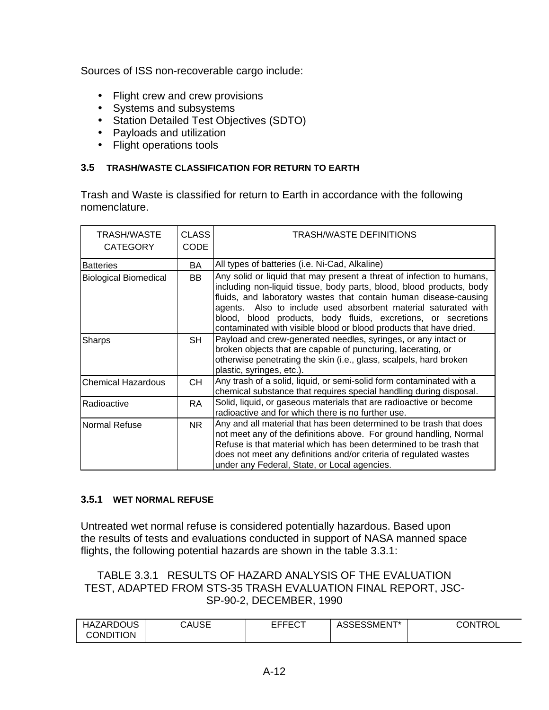Sources of ISS non-recoverable cargo include:

- Flight crew and crew provisions
- Systems and subsystems
- Station Detailed Test Objectives (SDTO)
- Payloads and utilization
- Flight operations tools

## **3.5 TRASH/WASTE CLASSIFICATION FOR RETURN TO EARTH**

Trash and Waste is classified for return to Earth in accordance with the following nomenclature.

| <b>TRASH/WASTE</b><br><b>CATEGORY</b> | <b>CLASS</b><br><b>CODE</b> | TRASH/WASTE DEFINITIONS                                                                                                                                                                                                                                                                                                                                                                                                    |
|---------------------------------------|-----------------------------|----------------------------------------------------------------------------------------------------------------------------------------------------------------------------------------------------------------------------------------------------------------------------------------------------------------------------------------------------------------------------------------------------------------------------|
| <b>Batteries</b>                      | BA.                         | All types of batteries (i.e. Ni-Cad, Alkaline)                                                                                                                                                                                                                                                                                                                                                                             |
| <b>Biological Biomedical</b>          | BB.                         | Any solid or liquid that may present a threat of infection to humans,<br>including non-liquid tissue, body parts, blood, blood products, body<br>fluids, and laboratory wastes that contain human disease-causing<br>agents. Also to include used absorbent material saturated with<br>blood, blood products, body fluids, excretions, or secretions<br>contaminated with visible blood or blood products that have dried. |
| <b>Sharps</b>                         | SH.                         | Payload and crew-generated needles, syringes, or any intact or<br>broken objects that are capable of puncturing, lacerating, or<br>otherwise penetrating the skin (i.e., glass, scalpels, hard broken<br>plastic, syringes, etc.).                                                                                                                                                                                         |
| <b>Chemical Hazardous</b>             | CH.                         | Any trash of a solid, liquid, or semi-solid form contaminated with a<br>chemical substance that requires special handling during disposal.                                                                                                                                                                                                                                                                                 |
| Radioactive                           | RA.                         | Solid, liquid, or gaseous materials that are radioactive or become<br>radioactive and for which there is no further use.                                                                                                                                                                                                                                                                                                   |
| Normal Refuse                         | NR.                         | Any and all material that has been determined to be trash that does<br>not meet any of the definitions above. For ground handling, Normal<br>Refuse is that material which has been determined to be trash that<br>does not meet any definitions and/or criteria of regulated wastes<br>under any Federal, State, or Local agencies.                                                                                       |

## **3.5.1 WET NORMAL REFUSE**

Untreated wet normal refuse is considered potentially hazardous. Based upon the results of tests and evaluations conducted in support of NASA manned space flights, the following potential hazards are shown in the table 3.3.1:

TABLE 3.3.1 RESULTS OF HAZARD ANALYSIS OF THE EVALUATION TEST, ADAPTED FROM STS-35 TRASH EVALUATION FINAL REPORT, JSC-SP-90-2, DECEMBER, 1990

| <b>HAZARDOUS</b><br><b>CONDITION</b> | CAUSE | ----^+<br>-----<br>◡ | <b>JSESSMENT*</b><br>AUUL. | CONTROI<br>. J \ |
|--------------------------------------|-------|----------------------|----------------------------|------------------|
|                                      |       |                      |                            |                  |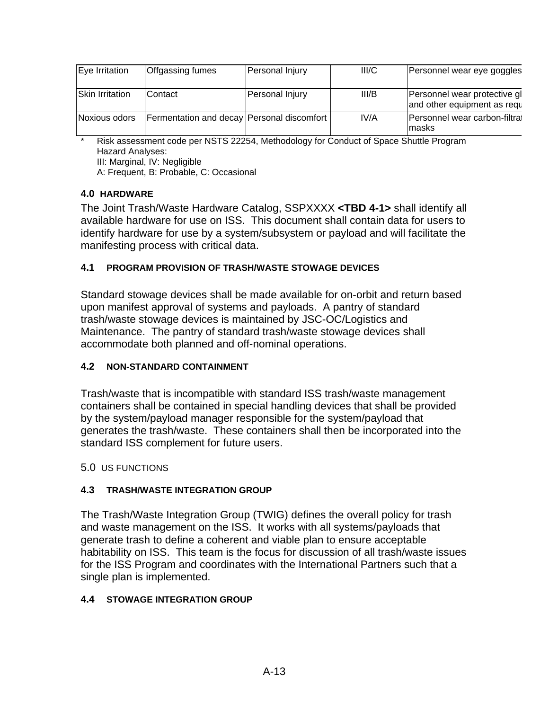| Eye Irritation  | Offgassing fumes                             | Personal Injury | III/C | Personnel wear eye goggles                                  |
|-----------------|----------------------------------------------|-----------------|-------|-------------------------------------------------------------|
| Skin Irritation | Contact                                      | Personal Injury | III/B | Personnel wear protective gl<br>and other equipment as requ |
| Noxious odors   | Fermentation and decay   Personal discomfort |                 | IV/A  | Personnel wear carbon-filtra<br>lmasks                      |

Risk assessment code per NSTS 22254, Methodology for Conduct of Space Shuttle Program Hazard Analyses: III: Marginal, IV: Negligible A: Frequent, B: Probable, C: Occasional

## **4.0 HARDWARE**

The Joint Trash/Waste Hardware Catalog, SSPXXXX **<TBD 4-1>** shall identify all available hardware for use on ISS. This document shall contain data for users to identify hardware for use by a system/subsystem or payload and will facilitate the manifesting process with critical data.

## **4.1 PROGRAM PROVISION OF TRASH/WASTE STOWAGE DEVICES**

Standard stowage devices shall be made available for on-orbit and return based upon manifest approval of systems and payloads. A pantry of standard trash/waste stowage devices is maintained by JSC-OC/Logistics and Maintenance. The pantry of standard trash/waste stowage devices shall accommodate both planned and off-nominal operations.

## **4.2 NON-STANDARD CONTAINMENT**

Trash/waste that is incompatible with standard ISS trash/waste management containers shall be contained in special handling devices that shall be provided by the system/payload manager responsible for the system/payload that generates the trash/waste. These containers shall then be incorporated into the standard ISS complement for future users.

#### 5.0 US FUNCTIONS

## **4.3 TRASH/WASTE INTEGRATION GROUP**

The Trash/Waste Integration Group (TWIG) defines the overall policy for trash and waste management on the ISS. It works with all systems/payloads that generate trash to define a coherent and viable plan to ensure acceptable habitability on ISS. This team is the focus for discussion of all trash/waste issues for the ISS Program and coordinates with the International Partners such that a single plan is implemented.

## **4.4 STOWAGE INTEGRATION GROUP**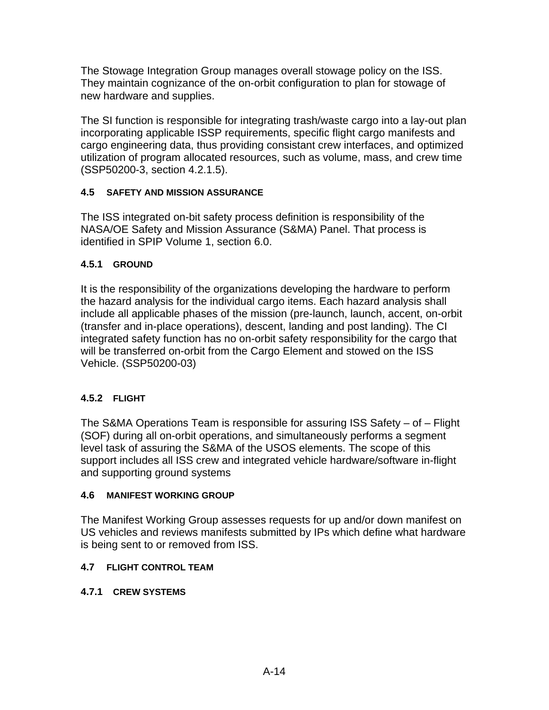The Stowage Integration Group manages overall stowage policy on the ISS. They maintain cognizance of the on-orbit configuration to plan for stowage of new hardware and supplies.

The SI function is responsible for integrating trash/waste cargo into a lay-out plan incorporating applicable ISSP requirements, specific flight cargo manifests and cargo engineering data, thus providing consistant crew interfaces, and optimized utilization of program allocated resources, such as volume, mass, and crew time (SSP50200-3, section 4.2.1.5).

## **4.5 SAFETY AND MISSION ASSURANCE**

The ISS integrated on-bit safety process definition is responsibility of the NASA/OE Safety and Mission Assurance (S&MA) Panel. That process is identified in SPIP Volume 1, section 6.0.

## **4.5.1 GROUND**

It is the responsibility of the organizations developing the hardware to perform the hazard analysis for the individual cargo items. Each hazard analysis shall include all applicable phases of the mission (pre-launch, launch, accent, on-orbit (transfer and in-place operations), descent, landing and post landing). The CI integrated safety function has no on-orbit safety responsibility for the cargo that will be transferred on-orbit from the Cargo Element and stowed on the ISS Vehicle. (SSP50200-03)

## **4.5.2 FLIGHT**

The S&MA Operations Team is responsible for assuring ISS Safety – of – Flight (SOF) during all on-orbit operations, and simultaneously performs a segment level task of assuring the S&MA of the USOS elements. The scope of this support includes all ISS crew and integrated vehicle hardware/software in-flight and supporting ground systems

## **4.6 MANIFEST WORKING GROUP**

The Manifest Working Group assesses requests for up and/or down manifest on US vehicles and reviews manifests submitted by IPs which define what hardware is being sent to or removed from ISS.

## **4.7 FLIGHT CONTROL TEAM**

## **4.7.1 CREW SYSTEMS**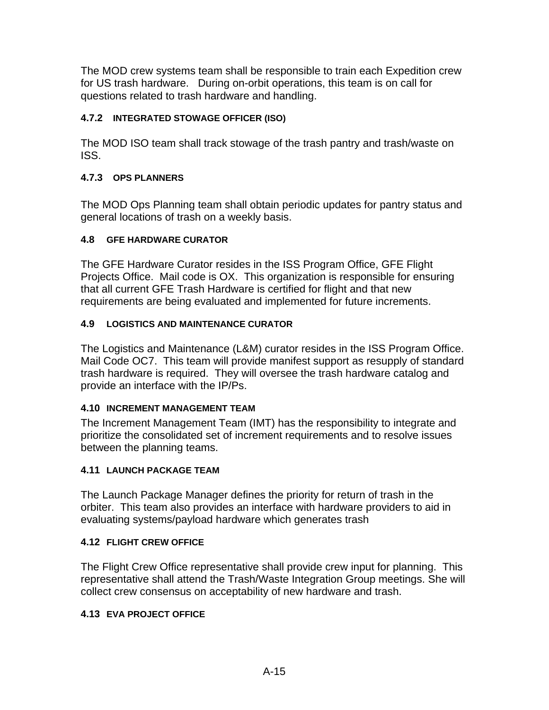The MOD crew systems team shall be responsible to train each Expedition crew for US trash hardware. During on-orbit operations, this team is on call for questions related to trash hardware and handling.

## **4.7.2 INTEGRATED STOWAGE OFFICER (ISO)**

The MOD ISO team shall track stowage of the trash pantry and trash/waste on ISS.

## **4.7.3 OPS PLANNERS**

The MOD Ops Planning team shall obtain periodic updates for pantry status and general locations of trash on a weekly basis.

## **4.8 GFE HARDWARE CURATOR**

The GFE Hardware Curator resides in the ISS Program Office, GFE Flight Projects Office. Mail code is OX. This organization is responsible for ensuring that all current GFE Trash Hardware is certified for flight and that new requirements are being evaluated and implemented for future increments.

## **4.9 LOGISTICS AND MAINTENANCE CURATOR**

The Logistics and Maintenance (L&M) curator resides in the ISS Program Office. Mail Code OC7. This team will provide manifest support as resupply of standard trash hardware is required. They will oversee the trash hardware catalog and provide an interface with the IP/Ps.

## **4.10 INCREMENT MANAGEMENT TEAM**

The Increment Management Team (IMT) has the responsibility to integrate and prioritize the consolidated set of increment requirements and to resolve issues between the planning teams.

## **4.11 LAUNCH PACKAGE TEAM**

The Launch Package Manager defines the priority for return of trash in the orbiter. This team also provides an interface with hardware providers to aid in evaluating systems/payload hardware which generates trash

## **4.12 FLIGHT CREW OFFICE**

The Flight Crew Office representative shall provide crew input for planning. This representative shall attend the Trash/Waste Integration Group meetings. She will collect crew consensus on acceptability of new hardware and trash.

## **4.13 EVA PROJECT OFFICE**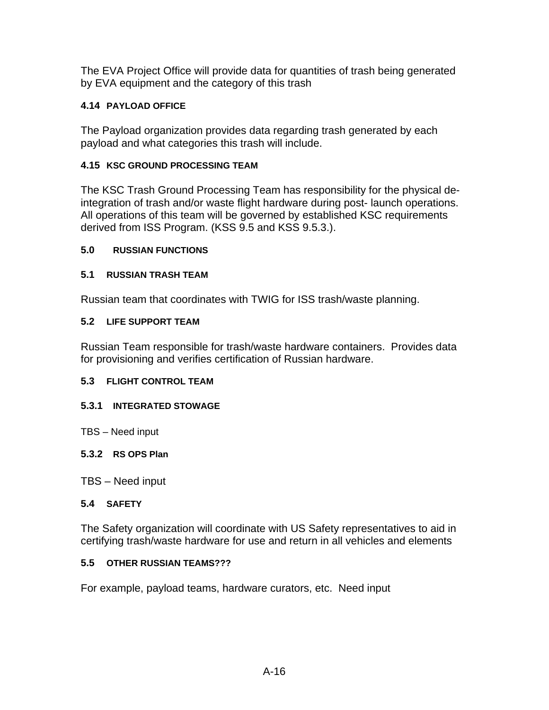The EVA Project Office will provide data for quantities of trash being generated by EVA equipment and the category of this trash

## **4.14 PAYLOAD OFFICE**

The Payload organization provides data regarding trash generated by each payload and what categories this trash will include.

## **4.15 KSC GROUND PROCESSING TEAM**

The KSC Trash Ground Processing Team has responsibility for the physical deintegration of trash and/or waste flight hardware during post- launch operations. All operations of this team will be governed by established KSC requirements derived from ISS Program. (KSS 9.5 and KSS 9.5.3.).

## **5.0 RUSSIAN FUNCTIONS**

## **5.1 RUSSIAN TRASH TEAM**

Russian team that coordinates with TWIG for ISS trash/waste planning.

## **5.2 LIFE SUPPORT TEAM**

Russian Team responsible for trash/waste hardware containers. Provides data for provisioning and verifies certification of Russian hardware.

## **5.3 FLIGHT CONTROL TEAM**

## **5.3.1 INTEGRATED STOWAGE**

TBS – Need input

## **5.3.2 RS OPS Plan**

TBS – Need input

## **5.4 SAFETY**

The Safety organization will coordinate with US Safety representatives to aid in certifying trash/waste hardware for use and return in all vehicles and elements

## **5.5 OTHER RUSSIAN TEAMS???**

For example, payload teams, hardware curators, etc. Need input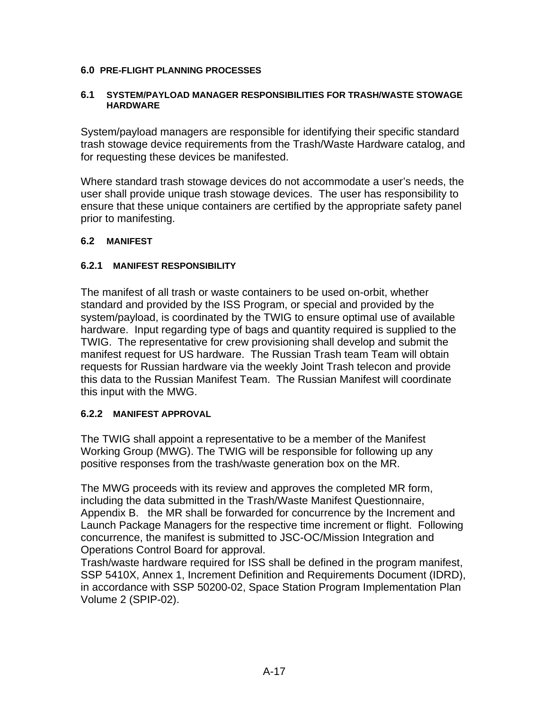#### **6.0 PRE-FLIGHT PLANNING PROCESSES**

#### **6.1 SYSTEM/PAYLOAD MANAGER RESPONSIBILITIES FOR TRASH/WASTE STOWAGE HARDWARE**

System/payload managers are responsible for identifying their specific standard trash stowage device requirements from the Trash/Waste Hardware catalog, and for requesting these devices be manifested.

Where standard trash stowage devices do not accommodate a user's needs, the user shall provide unique trash stowage devices. The user has responsibility to ensure that these unique containers are certified by the appropriate safety panel prior to manifesting.

#### **6.2 MANIFEST**

#### **6.2.1 MANIFEST RESPONSIBILITY**

The manifest of all trash or waste containers to be used on-orbit, whether standard and provided by the ISS Program, or special and provided by the system/payload, is coordinated by the TWIG to ensure optimal use of available hardware. Input regarding type of bags and quantity required is supplied to the TWIG. The representative for crew provisioning shall develop and submit the manifest request for US hardware. The Russian Trash team Team will obtain requests for Russian hardware via the weekly Joint Trash telecon and provide this data to the Russian Manifest Team. The Russian Manifest will coordinate this input with the MWG.

## **6.2.2 MANIFEST APPROVAL**

The TWIG shall appoint a representative to be a member of the Manifest Working Group (MWG). The TWIG will be responsible for following up any positive responses from the trash/waste generation box on the MR.

The MWG proceeds with its review and approves the completed MR form, including the data submitted in the Trash/Waste Manifest Questionnaire, Appendix B. the MR shall be forwarded for concurrence by the Increment and Launch Package Managers for the respective time increment or flight. Following concurrence, the manifest is submitted to JSC-OC/Mission Integration and Operations Control Board for approval.

Trash/waste hardware required for ISS shall be defined in the program manifest, SSP 5410X, Annex 1, Increment Definition and Requirements Document (IDRD), in accordance with SSP 50200-02, Space Station Program Implementation Plan Volume 2 (SPIP-02).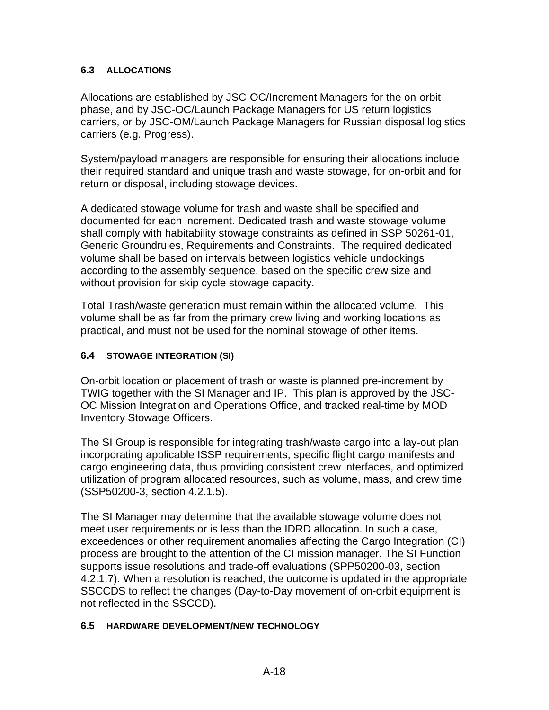## **6.3 ALLOCATIONS**

Allocations are established by JSC-OC/Increment Managers for the on-orbit phase, and by JSC-OC/Launch Package Managers for US return logistics carriers, or by JSC-OM/Launch Package Managers for Russian disposal logistics carriers (e.g. Progress).

System/payload managers are responsible for ensuring their allocations include their required standard and unique trash and waste stowage, for on-orbit and for return or disposal, including stowage devices.

A dedicated stowage volume for trash and waste shall be specified and documented for each increment. Dedicated trash and waste stowage volume shall comply with habitability stowage constraints as defined in SSP 50261-01, Generic Groundrules, Requirements and Constraints. The required dedicated volume shall be based on intervals between logistics vehicle undockings according to the assembly sequence, based on the specific crew size and without provision for skip cycle stowage capacity.

Total Trash/waste generation must remain within the allocated volume. This volume shall be as far from the primary crew living and working locations as practical, and must not be used for the nominal stowage of other items.

## **6.4 STOWAGE INTEGRATION (SI)**

On-orbit location or placement of trash or waste is planned pre-increment by TWIG together with the SI Manager and IP. This plan is approved by the JSC-OC Mission Integration and Operations Office, and tracked real-time by MOD Inventory Stowage Officers.

The SI Group is responsible for integrating trash/waste cargo into a lay-out plan incorporating applicable ISSP requirements, specific flight cargo manifests and cargo engineering data, thus providing consistent crew interfaces, and optimized utilization of program allocated resources, such as volume, mass, and crew time (SSP50200-3, section 4.2.1.5).

The SI Manager may determine that the available stowage volume does not meet user requirements or is less than the IDRD allocation. In such a case, exceedences or other requirement anomalies affecting the Cargo Integration (CI) process are brought to the attention of the CI mission manager. The SI Function supports issue resolutions and trade-off evaluations (SPP50200-03, section 4.2.1.7). When a resolution is reached, the outcome is updated in the appropriate SSCCDS to reflect the changes (Day-to-Day movement of on-orbit equipment is not reflected in the SSCCD).

## **6.5 HARDWARE DEVELOPMENT/NEW TECHNOLOGY**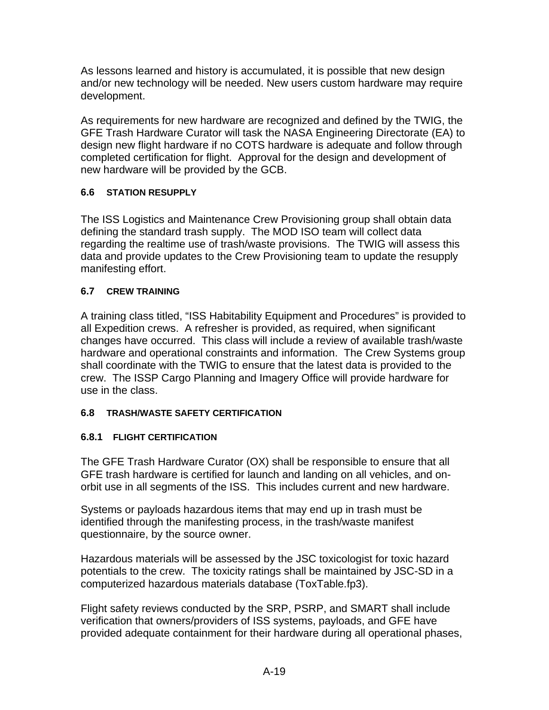As lessons learned and history is accumulated, it is possible that new design and/or new technology will be needed. New users custom hardware may require development.

As requirements for new hardware are recognized and defined by the TWIG, the GFE Trash Hardware Curator will task the NASA Engineering Directorate (EA) to design new flight hardware if no COTS hardware is adequate and follow through completed certification for flight. Approval for the design and development of new hardware will be provided by the GCB.

## **6.6 STATION RESUPPLY**

The ISS Logistics and Maintenance Crew Provisioning group shall obtain data defining the standard trash supply. The MOD ISO team will collect data regarding the realtime use of trash/waste provisions. The TWIG will assess this data and provide updates to the Crew Provisioning team to update the resupply manifesting effort.

## **6.7 CREW TRAINING**

A training class titled, "ISS Habitability Equipment and Procedures" is provided to all Expedition crews. A refresher is provided, as required, when significant changes have occurred. This class will include a review of available trash/waste hardware and operational constraints and information. The Crew Systems group shall coordinate with the TWIG to ensure that the latest data is provided to the crew. The ISSP Cargo Planning and Imagery Office will provide hardware for use in the class.

## **6.8 TRASH/WASTE SAFETY CERTIFICATION**

## **6.8.1 FLIGHT CERTIFICATION**

The GFE Trash Hardware Curator (OX) shall be responsible to ensure that all GFE trash hardware is certified for launch and landing on all vehicles, and onorbit use in all segments of the ISS. This includes current and new hardware.

Systems or payloads hazardous items that may end up in trash must be identified through the manifesting process, in the trash/waste manifest questionnaire, by the source owner.

Hazardous materials will be assessed by the JSC toxicologist for toxic hazard potentials to the crew. The toxicity ratings shall be maintained by JSC-SD in a computerized hazardous materials database (ToxTable.fp3).

Flight safety reviews conducted by the SRP, PSRP, and SMART shall include verification that owners/providers of ISS systems, payloads, and GFE have provided adequate containment for their hardware during all operational phases,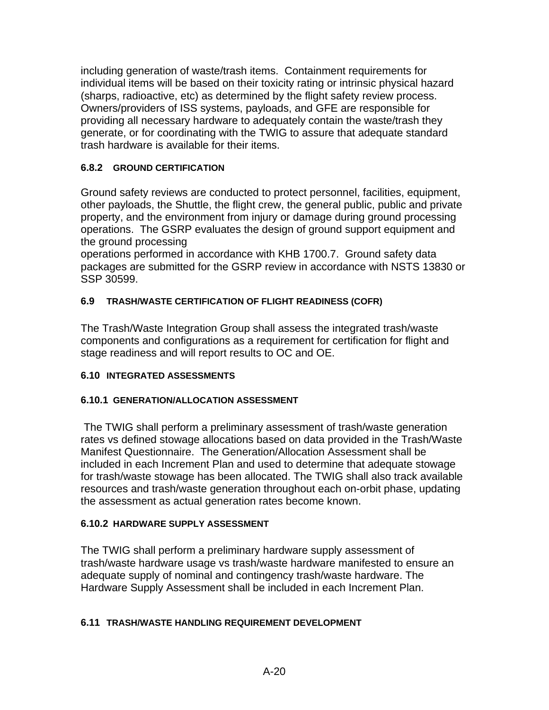including generation of waste/trash items. Containment requirements for individual items will be based on their toxicity rating or intrinsic physical hazard (sharps, radioactive, etc) as determined by the flight safety review process. Owners/providers of ISS systems, payloads, and GFE are responsible for providing all necessary hardware to adequately contain the waste/trash they generate, or for coordinating with the TWIG to assure that adequate standard trash hardware is available for their items.

## **6.8.2 GROUND CERTIFICATION**

Ground safety reviews are conducted to protect personnel, facilities, equipment, other payloads, the Shuttle, the flight crew, the general public, public and private property, and the environment from injury or damage during ground processing operations. The GSRP evaluates the design of ground support equipment and the ground processing

operations performed in accordance with KHB 1700.7. Ground safety data packages are submitted for the GSRP review in accordance with NSTS 13830 or SSP 30599.

## **6.9 TRASH/WASTE CERTIFICATION OF FLIGHT READINESS (COFR)**

The Trash/Waste Integration Group shall assess the integrated trash/waste components and configurations as a requirement for certification for flight and stage readiness and will report results to OC and OE.

## **6.10 INTEGRATED ASSESSMENTS**

## **6.10.1 GENERATION/ALLOCATION ASSESSMENT**

 The TWIG shall perform a preliminary assessment of trash/waste generation rates vs defined stowage allocations based on data provided in the Trash/Waste Manifest Questionnaire. The Generation/Allocation Assessment shall be included in each Increment Plan and used to determine that adequate stowage for trash/waste stowage has been allocated. The TWIG shall also track available resources and trash/waste generation throughout each on-orbit phase, updating the assessment as actual generation rates become known.

#### **6.10.2 HARDWARE SUPPLY ASSESSMENT**

The TWIG shall perform a preliminary hardware supply assessment of trash/waste hardware usage vs trash/waste hardware manifested to ensure an adequate supply of nominal and contingency trash/waste hardware. The Hardware Supply Assessment shall be included in each Increment Plan.

#### **6.11 TRASH/WASTE HANDLING REQUIREMENT DEVELOPMENT**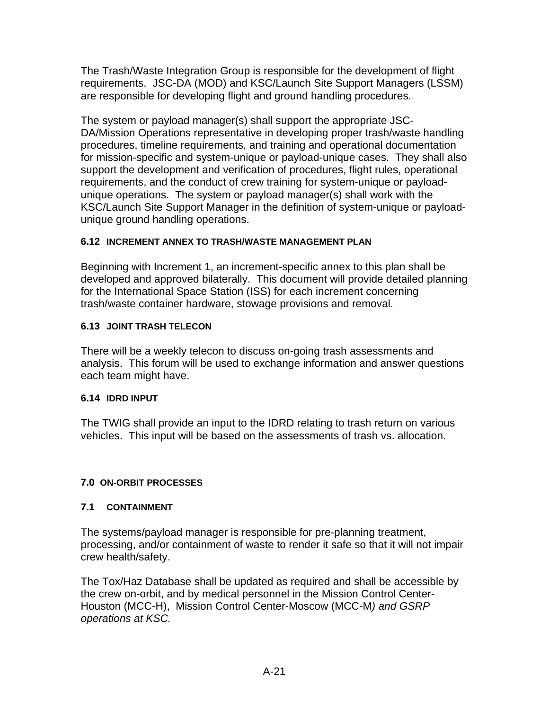The Trash/Waste Integration Group is responsible for the development of flight requirements. JSC-DA (MOD) and KSC/Launch Site Support Managers (LSSM) are responsible for developing flight and ground handling procedures.

The system or payload manager(s) shall support the appropriate JSC-DA/Mission Operations representative in developing proper trash/waste handling procedures, timeline requirements, and training and operational documentation for mission-specific and system-unique or payload-unique cases. They shall also support the development and verification of procedures, flight rules, operational requirements, and the conduct of crew training for system-unique or payloadunique operations. The system or payload manager(s) shall work with the KSC/Launch Site Support Manager in the definition of system-unique or payloadunique ground handling operations.

## **6.12 INCREMENT ANNEX TO TRASH/WASTE MANAGEMENT PLAN**

Beginning with Increment 1, an increment-specific annex to this plan shall be developed and approved bilaterally. This document will provide detailed planning for the International Space Station (ISS) for each increment concerning trash/waste container hardware, stowage provisions and removal.

## **6.13 JOINT TRASH TELECON**

There will be a weekly telecon to discuss on-going trash assessments and analysis. This forum will be used to exchange information and answer questions each team might have.

## **6.14 IDRD INPUT**

The TWIG shall provide an input to the IDRD relating to trash return on various vehicles. This input will be based on the assessments of trash vs. allocation.

## **7.0 ON-ORBIT PROCESSES**

## **7.1 CONTAINMENT**

The systems/payload manager is responsible for pre-planning treatment, processing, and/or containment of waste to render it safe so that it will not impair crew health/safety.

The Tox/Haz Database shall be updated as required and shall be accessible by the crew on-orbit, and by medical personnel in the Mission Control Center-Houston (MCC-H), Mission Control Center-Moscow (MCC-M*) and GSRP operations at KSC.*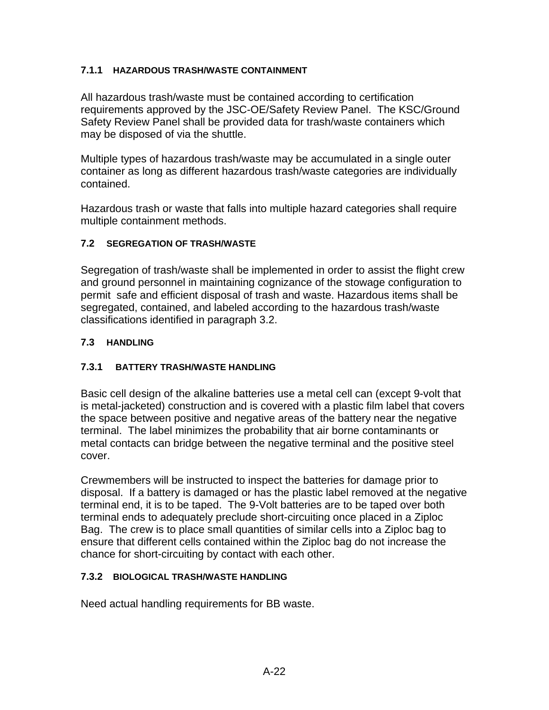## **7.1.1 HAZARDOUS TRASH/WASTE CONTAINMENT**

All hazardous trash/waste must be contained according to certification requirements approved by the JSC-OE/Safety Review Panel. The KSC/Ground Safety Review Panel shall be provided data for trash/waste containers which may be disposed of via the shuttle.

Multiple types of hazardous trash/waste may be accumulated in a single outer container as long as different hazardous trash/waste categories are individually contained.

Hazardous trash or waste that falls into multiple hazard categories shall require multiple containment methods.

## **7.2 SEGREGATION OF TRASH/WASTE**

Segregation of trash/waste shall be implemented in order to assist the flight crew and ground personnel in maintaining cognizance of the stowage configuration to permit safe and efficient disposal of trash and waste. Hazardous items shall be segregated, contained, and labeled according to the hazardous trash/waste classifications identified in paragraph 3.2.

## **7.3 HANDLING**

## **7.3.1 BATTERY TRASH/WASTE HANDLING**

Basic cell design of the alkaline batteries use a metal cell can (except 9-volt that is metal-jacketed) construction and is covered with a plastic film label that covers the space between positive and negative areas of the battery near the negative terminal. The label minimizes the probability that air borne contaminants or metal contacts can bridge between the negative terminal and the positive steel cover.

Crewmembers will be instructed to inspect the batteries for damage prior to disposal. If a battery is damaged or has the plastic label removed at the negative terminal end, it is to be taped. The 9-Volt batteries are to be taped over both terminal ends to adequately preclude short-circuiting once placed in a Ziploc Bag. The crew is to place small quantities of similar cells into a Ziploc bag to ensure that different cells contained within the Ziploc bag do not increase the chance for short-circuiting by contact with each other.

## **7.3.2 BIOLOGICAL TRASH/WASTE HANDLING**

Need actual handling requirements for BB waste.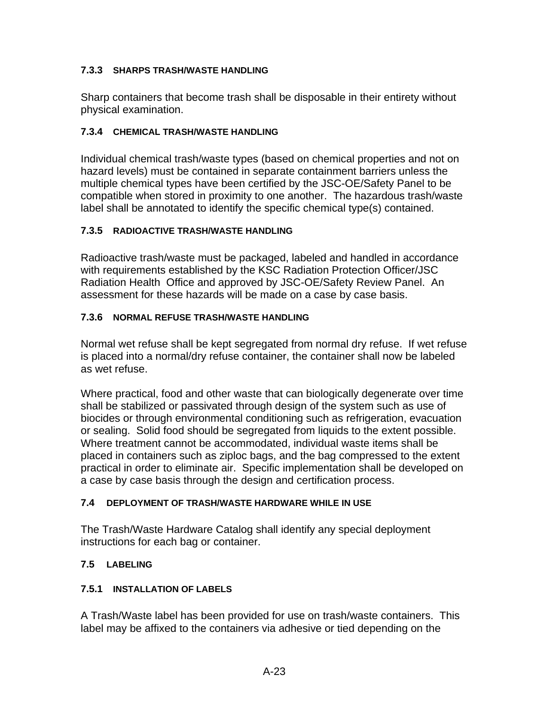## **7.3.3 SHARPS TRASH/WASTE HANDLING**

Sharp containers that become trash shall be disposable in their entirety without physical examination.

## **7.3.4 CHEMICAL TRASH/WASTE HANDLING**

Individual chemical trash/waste types (based on chemical properties and not on hazard levels) must be contained in separate containment barriers unless the multiple chemical types have been certified by the JSC-OE/Safety Panel to be compatible when stored in proximity to one another. The hazardous trash/waste label shall be annotated to identify the specific chemical type(s) contained.

## **7.3.5 RADIOACTIVE TRASH/WASTE HANDLING**

Radioactive trash/waste must be packaged, labeled and handled in accordance with requirements established by the KSC Radiation Protection Officer/JSC Radiation Health Office and approved by JSC-OE/Safety Review Panel. An assessment for these hazards will be made on a case by case basis.

## **7.3.6 NORMAL REFUSE TRASH/WASTE HANDLING**

Normal wet refuse shall be kept segregated from normal dry refuse. If wet refuse is placed into a normal/dry refuse container, the container shall now be labeled as wet refuse.

Where practical, food and other waste that can biologically degenerate over time shall be stabilized or passivated through design of the system such as use of biocides or through environmental conditioning such as refrigeration, evacuation or sealing. Solid food should be segregated from liquids to the extent possible. Where treatment cannot be accommodated, individual waste items shall be placed in containers such as ziploc bags, and the bag compressed to the extent practical in order to eliminate air. Specific implementation shall be developed on a case by case basis through the design and certification process.

## **7.4 DEPLOYMENT OF TRASH/WASTE HARDWARE WHILE IN USE**

The Trash/Waste Hardware Catalog shall identify any special deployment instructions for each bag or container.

## **7.5 LABELING**

## **7.5.1 INSTALLATION OF LABELS**

A Trash/Waste label has been provided for use on trash/waste containers. This label may be affixed to the containers via adhesive or tied depending on the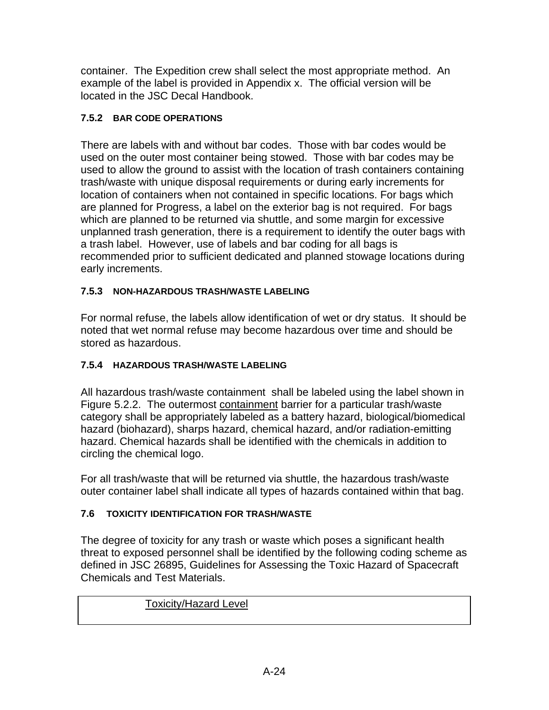container. The Expedition crew shall select the most appropriate method. An example of the label is provided in Appendix x. The official version will be located in the JSC Decal Handbook.

## **7.5.2 BAR CODE OPERATIONS**

There are labels with and without bar codes. Those with bar codes would be used on the outer most container being stowed. Those with bar codes may be used to allow the ground to assist with the location of trash containers containing trash/waste with unique disposal requirements or during early increments for location of containers when not contained in specific locations. For bags which are planned for Progress, a label on the exterior bag is not required. For bags which are planned to be returned via shuttle, and some margin for excessive unplanned trash generation, there is a requirement to identify the outer bags with a trash label. However, use of labels and bar coding for all bags is recommended prior to sufficient dedicated and planned stowage locations during early increments.

## **7.5.3 NON-HAZARDOUS TRASH/WASTE LABELING**

For normal refuse, the labels allow identification of wet or dry status. It should be noted that wet normal refuse may become hazardous over time and should be stored as hazardous.

## **7.5.4 HAZARDOUS TRASH/WASTE LABELING**

All hazardous trash/waste containment shall be labeled using the label shown in Figure 5.2.2. The outermost containment barrier for a particular trash/waste category shall be appropriately labeled as a battery hazard, biological/biomedical hazard (biohazard), sharps hazard, chemical hazard, and/or radiation-emitting hazard. Chemical hazards shall be identified with the chemicals in addition to circling the chemical logo.

For all trash/waste that will be returned via shuttle, the hazardous trash/waste outer container label shall indicate all types of hazards contained within that bag.

## **7.6 TOXICITY IDENTIFICATION FOR TRASH/WASTE**

The degree of toxicity for any trash or waste which poses a significant health threat to exposed personnel shall be identified by the following coding scheme as defined in JSC 26895, Guidelines for Assessing the Toxic Hazard of Spacecraft Chemicals and Test Materials.

## Toxicity/Hazard Level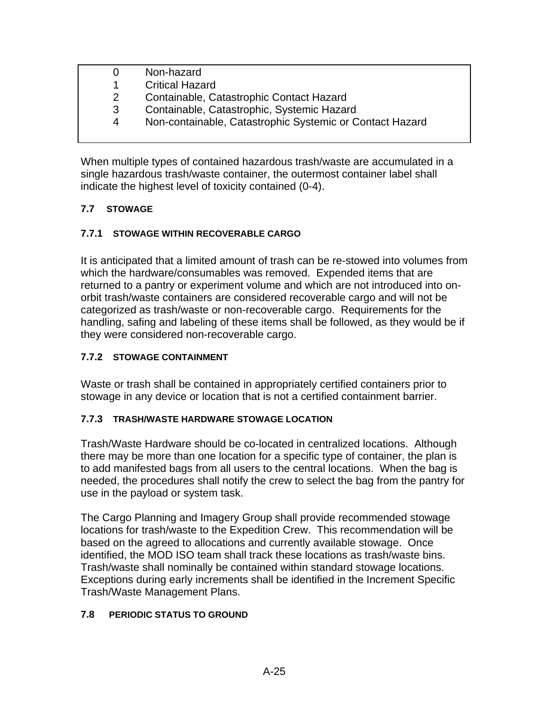| O | Non-hazard                                               |
|---|----------------------------------------------------------|
| 1 | <b>Critical Hazard</b>                                   |
| 2 | Containable, Catastrophic Contact Hazard                 |
| 3 | Containable, Catastrophic, Systemic Hazard               |
| 4 | Non-containable, Catastrophic Systemic or Contact Hazard |

When multiple types of contained hazardous trash/waste are accumulated in a single hazardous trash/waste container, the outermost container label shall indicate the highest level of toxicity contained (0-4).

## **7.7 STOWAGE**

## **7.7.1 STOWAGE WITHIN RECOVERABLE CARGO**

It is anticipated that a limited amount of trash can be re-stowed into volumes from which the hardware/consumables was removed. Expended items that are returned to a pantry or experiment volume and which are not introduced into onorbit trash/waste containers are considered recoverable cargo and will not be categorized as trash/waste or non-recoverable cargo. Requirements for the handling, safing and labeling of these items shall be followed, as they would be if they were considered non-recoverable cargo.

## **7.7.2 STOWAGE CONTAINMENT**

Waste or trash shall be contained in appropriately certified containers prior to stowage in any device or location that is not a certified containment barrier.

## **7.7.3 TRASH/WASTE HARDWARE STOWAGE LOCATION**

Trash/Waste Hardware should be co-located in centralized locations. Although there may be more than one location for a specific type of container, the plan is to add manifested bags from all users to the central locations. When the bag is needed, the procedures shall notify the crew to select the bag from the pantry for use in the payload or system task.

The Cargo Planning and Imagery Group shall provide recommended stowage locations for trash/waste to the Expedition Crew. This recommendation will be based on the agreed to allocations and currently available stowage. Once identified, the MOD ISO team shall track these locations as trash/waste bins. Trash/waste shall nominally be contained within standard stowage locations. Exceptions during early increments shall be identified in the Increment Specific Trash/Waste Management Plans.

## **7.8 PERIODIC STATUS TO GROUND**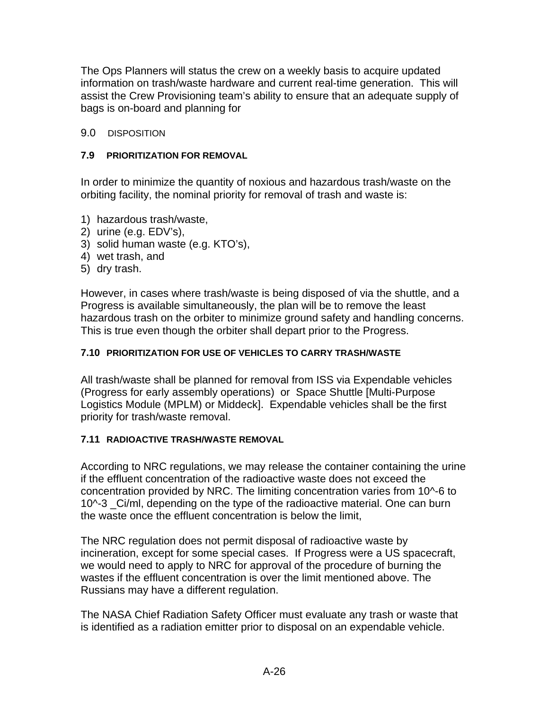The Ops Planners will status the crew on a weekly basis to acquire updated information on trash/waste hardware and current real-time generation. This will assist the Crew Provisioning team's ability to ensure that an adequate supply of bags is on-board and planning for

## 9.0 DISPOSITION

## **7.9 PRIORITIZATION FOR REMOVAL**

In order to minimize the quantity of noxious and hazardous trash/waste on the orbiting facility, the nominal priority for removal of trash and waste is:

- 1) hazardous trash/waste,
- 2) urine (e.g. EDV's),
- 3) solid human waste (e.g. KTO's),
- 4) wet trash, and
- 5) dry trash.

However, in cases where trash/waste is being disposed of via the shuttle, and a Progress is available simultaneously, the plan will be to remove the least hazardous trash on the orbiter to minimize ground safety and handling concerns. This is true even though the orbiter shall depart prior to the Progress.

## **7.10 PRIORITIZATION FOR USE OF VEHICLES TO CARRY TRASH/WASTE**

All trash/waste shall be planned for removal from ISS via Expendable vehicles (Progress for early assembly operations) or Space Shuttle [Multi-Purpose Logistics Module (MPLM) or Middeck].Expendable vehicles shall be the first priority for trash/waste removal.

## **7.11 RADIOACTIVE TRASH/WASTE REMOVAL**

According to NRC regulations, we may release the container containing the urine if the effluent concentration of the radioactive waste does not exceed the concentration provided by NRC. The limiting concentration varies from 10^-6 to 10^-3 Ci/ml, depending on the type of the radioactive material. One can burn the waste once the effluent concentration is below the limit,

The NRC regulation does not permit disposal of radioactive waste by incineration, except for some special cases. If Progress were a US spacecraft, we would need to apply to NRC for approval of the procedure of burning the wastes if the effluent concentration is over the limit mentioned above. The Russians may have a different regulation.

The NASA Chief Radiation Safety Officer must evaluate any trash or waste that is identified as a radiation emitter prior to disposal on an expendable vehicle.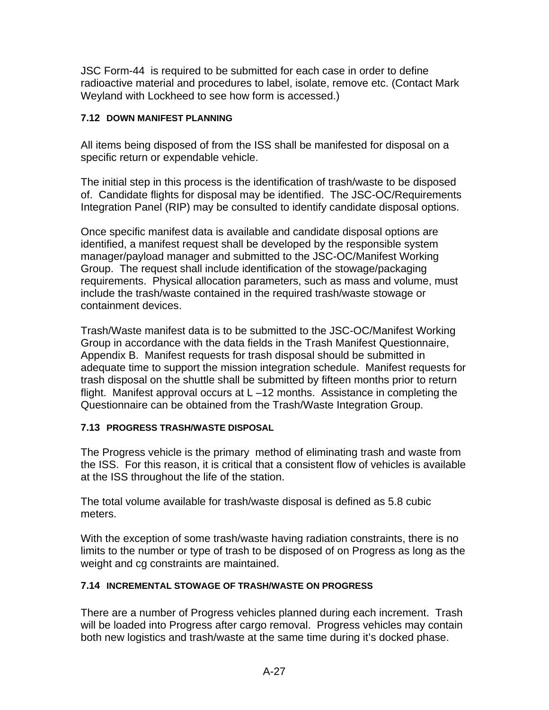JSC Form-44 is required to be submitted for each case in order to define radioactive material and procedures to label, isolate, remove etc. (Contact Mark Weyland with Lockheed to see how form is accessed.)

## **7.12 DOWN MANIFEST PLANNING**

All items being disposed of from the ISS shall be manifested for disposal on a specific return or expendable vehicle.

The initial step in this process is the identification of trash/waste to be disposed of. Candidate flights for disposal may be identified. The JSC-OC/Requirements Integration Panel (RIP) may be consulted to identify candidate disposal options.

Once specific manifest data is available and candidate disposal options are identified, a manifest request shall be developed by the responsible system manager/payload manager and submitted to the JSC-OC/Manifest Working Group. The request shall include identification of the stowage/packaging requirements. Physical allocation parameters, such as mass and volume, must include the trash/waste contained in the required trash/waste stowage or containment devices.

Trash/Waste manifest data is to be submitted to the JSC-OC/Manifest Working Group in accordance with the data fields in the Trash Manifest Questionnaire, Appendix B. Manifest requests for trash disposal should be submitted in adequate time to support the mission integration schedule. Manifest requests for trash disposal on the shuttle shall be submitted by fifteen months prior to return flight. Manifest approval occurs at L –12 months. Assistance in completing the Questionnaire can be obtained from the Trash/Waste Integration Group.

## **7.13 PROGRESS TRASH/WASTE DISPOSAL**

The Progress vehicle is the primary method of eliminating trash and waste from the ISS. For this reason, it is critical that a consistent flow of vehicles is available at the ISS throughout the life of the station.

The total volume available for trash/waste disposal is defined as 5.8 cubic meters.

With the exception of some trash/waste having radiation constraints, there is no limits to the number or type of trash to be disposed of on Progress as long as the weight and cg constraints are maintained.

## **7.14 INCREMENTAL STOWAGE OF TRASH/WASTE ON PROGRESS**

There are a number of Progress vehicles planned during each increment. Trash will be loaded into Progress after cargo removal. Progress vehicles may contain both new logistics and trash/waste at the same time during it's docked phase.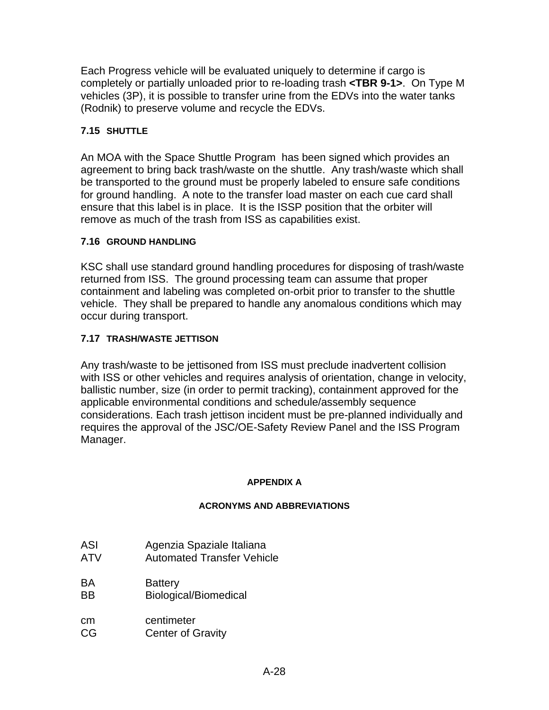Each Progress vehicle will be evaluated uniquely to determine if cargo is completely or partially unloaded prior to re-loading trash **<TBR 9-1>**. On Type M vehicles (3P), it is possible to transfer urine from the EDVs into the water tanks (Rodnik) to preserve volume and recycle the EDVs.

## **7.15 SHUTTLE**

An MOA with the Space Shuttle Program has been signed which provides an agreement to bring back trash/waste on the shuttle. Any trash/waste which shall be transported to the ground must be properly labeled to ensure safe conditions for ground handling. A note to the transfer load master on each cue card shall ensure that this label is in place. It is the ISSP position that the orbiter will remove as much of the trash from ISS as capabilities exist.

## **7.16 GROUND HANDLING**

KSC shall use standard ground handling procedures for disposing of trash/waste returned from ISS. The ground processing team can assume that proper containment and labeling was completed on-orbit prior to transfer to the shuttle vehicle. They shall be prepared to handle any anomalous conditions which may occur during transport.

## **7.17 TRASH/WASTE JETTISON**

Any trash/waste to be jettisoned from ISS must preclude inadvertent collision with ISS or other vehicles and requires analysis of orientation, change in velocity, ballistic number, size (in order to permit tracking), containment approved for the applicable environmental conditions and schedule/assembly sequence considerations. Each trash jettison incident must be pre-planned individually and requires the approval of the JSC/OE-Safety Review Panel and the ISS Program Manager.

## **APPENDIX A**

## **ACRONYMS AND ABBREVIATIONS**

- ASI Agenzia Spaziale Italiana
- ATV Automated Transfer Vehicle
- BA Battery
- BB Biological/Biomedical
- cm centimeter
- CG Center of Gravity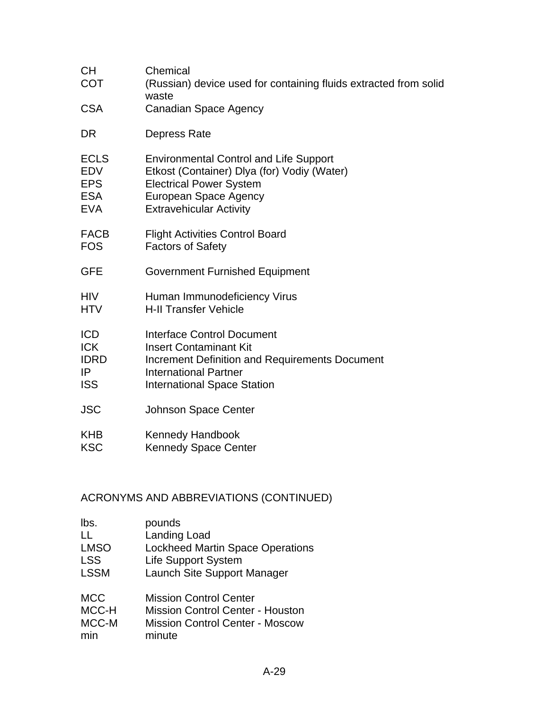| <b>CH</b><br><b>COT</b> | Chemical<br>(Russian) device used for containing fluids extracted from solid<br>waste |
|-------------------------|---------------------------------------------------------------------------------------|
| <b>CSA</b>              | <b>Canadian Space Agency</b>                                                          |
| DR                      | Depress Rate                                                                          |
| <b>ECLS</b>             | <b>Environmental Control and Life Support</b>                                         |
| <b>EDV</b>              | Etkost (Container) Dlya (for) Vodiy (Water)                                           |
| <b>EPS</b>              | <b>Electrical Power System</b>                                                        |
| <b>ESA</b>              | <b>European Space Agency</b>                                                          |
| <b>EVA</b>              | <b>Extravehicular Activity</b>                                                        |
| <b>FACB</b>             | <b>Flight Activities Control Board</b>                                                |
| <b>FOS</b>              | <b>Factors of Safety</b>                                                              |
| <b>GFE</b>              | <b>Government Furnished Equipment</b>                                                 |
| <b>HIV</b>              | Human Immunodeficiency Virus                                                          |
| <b>HTV</b>              | <b>H-II Transfer Vehicle</b>                                                          |
| <b>ICD</b>              | <b>Interface Control Document</b>                                                     |
| <b>ICK</b>              | <b>Insert Contaminant Kit</b>                                                         |
| <b>IDRD</b>             | <b>Increment Definition and Requirements Document</b>                                 |
| IP                      | <b>International Partner</b>                                                          |
| <b>ISS</b>              | <b>International Space Station</b>                                                    |
| <b>JSC</b>              | <b>Johnson Space Center</b>                                                           |
| <b>KHB</b>              | Kennedy Handbook                                                                      |
| <b>KSC</b>              | <b>Kennedy Space Center</b>                                                           |

## ACRONYMS AND ABBREVIATIONS (CONTINUED)

| lbs.        | pounds                                  |
|-------------|-----------------------------------------|
| H           | Landing Load                            |
| <b>LMSO</b> | <b>Lockheed Martin Space Operations</b> |
| <b>LSS</b>  | <b>Life Support System</b>              |
| <b>LSSM</b> | Launch Site Support Manager             |
|             |                                         |

| MCC   | <b>Mission Control Center</b>           |
|-------|-----------------------------------------|
| MCC-H | <b>Mission Control Center - Houston</b> |
| MCC-M | <b>Mission Control Center - Moscow</b>  |
| min   | minute                                  |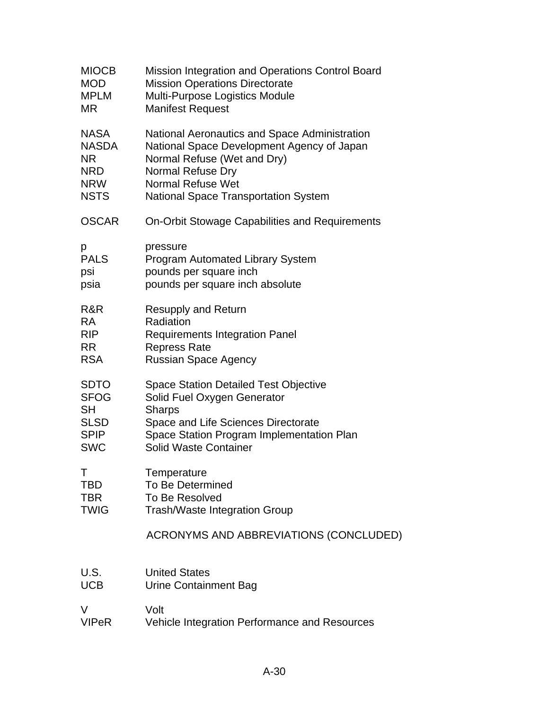| <b>MIOCB</b> | Mission Integration and Operations Control Board |
|--------------|--------------------------------------------------|
| <b>MOD</b>   | <b>Mission Operations Directorate</b>            |
| <b>MPLM</b>  | Multi-Purpose Logistics Module                   |
| ΜR           | <b>Manifest Request</b>                          |
| <b>NASA</b>  | National Aeronautics and Space Administration    |
| NASDA        | National Space Development Agency of Japan       |
| NR.          | Normal Refuse (Wet and Dry)                      |
| <b>NRD</b>   | Normal Refuse Dry                                |
| <b>NRW</b>   | <b>Normal Refuse Wet</b>                         |
| <b>NSTS</b>  | <b>National Space Transportation System</b>      |
| <b>OSCAR</b> | On-Orbit Stowage Capabilities and Requirements   |
| р            | pressure                                         |
| <b>PALS</b>  | <b>Program Automated Library System</b>          |
| psi          | pounds per square inch                           |
| psia         | pounds per square inch absolute                  |
| R&R          | <b>Resupply and Return</b>                       |
| <b>RA</b>    | Radiation                                        |
| <b>RIP</b>   | <b>Requirements Integration Panel</b>            |
| <b>RR</b>    | <b>Repress Rate</b>                              |
| <b>RSA</b>   | <b>Russian Space Agency</b>                      |
| <b>SDTO</b>  | <b>Space Station Detailed Test Objective</b>     |
| <b>SFOG</b>  | Solid Fuel Oxygen Generator                      |
| SH           | <b>Sharps</b>                                    |
| <b>SLSD</b>  | Space and Life Sciences Directorate              |
| <b>SPIP</b>  | Space Station Program Implementation Plan        |
| <b>SWC</b>   | <b>Solid Waste Container</b>                     |
| Τ            | Temperature                                      |
| TBD          | <b>To Be Determined</b>                          |
| TBR          | <b>To Be Resolved</b>                            |
| <b>TWIG</b>  | Trash/Waste Integration Group                    |
|              | ACRONYMS AND ABBREVIATIONS (CONCLUDED)           |
| U.S.         | <b>United States</b>                             |
| <b>UCB</b>   | Urine Containment Bag                            |
| V            | Volt                                             |
| <b>VIPeR</b> | Vehicle Integration Performance and Resources    |
|              |                                                  |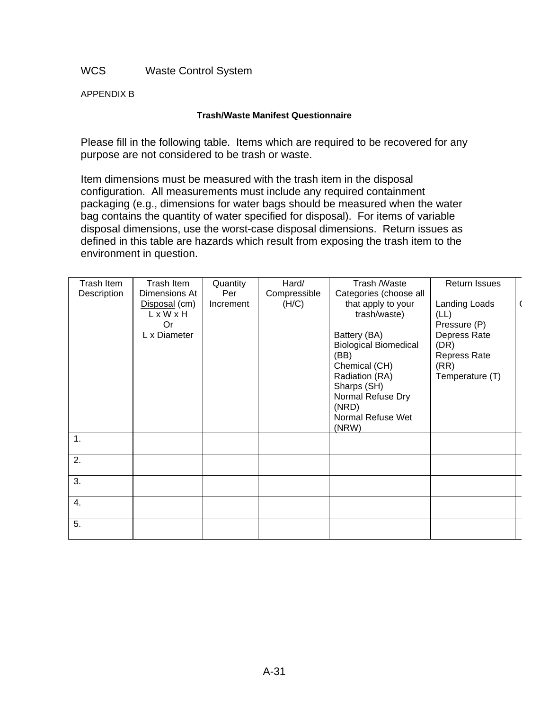WCS Waste Control System

APPENDIX B

#### **Trash/Waste Manifest Questionnaire**

Please fill in the following table. Items which are required to be recovered for any purpose are not considered to be trash or waste.

Item dimensions must be measured with the trash item in the disposal configuration. All measurements must include any required containment packaging (e.g., dimensions for water bags should be measured when the water bag contains the quantity of water specified for disposal). For items of variable disposal dimensions, use the worst-case disposal dimensions. Return issues as defined in this table are hazards which result from exposing the trash item to the environment in question.

| Trash Item     | Trash Item    | Quantity  | Hard/        | Trash /Waste                 | Return Issues   |  |
|----------------|---------------|-----------|--------------|------------------------------|-----------------|--|
| Description    | Dimensions At | Per       | Compressible | Categories (choose all       |                 |  |
|                | Disposal (cm) | Increment | (H/C)        | that apply to your           | Landing Loads   |  |
|                | LxWxH         |           |              | trash/waste)                 | (LL)            |  |
|                | <b>Or</b>     |           |              |                              | Pressure (P)    |  |
|                | L x Diameter  |           |              | Battery (BA)                 | Depress Rate    |  |
|                |               |           |              | <b>Biological Biomedical</b> | (DR)            |  |
|                |               |           |              | (BB)                         | Repress Rate    |  |
|                |               |           |              | Chemical (CH)                | (RR)            |  |
|                |               |           |              | Radiation (RA)               | Temperature (T) |  |
|                |               |           |              | Sharps (SH)                  |                 |  |
|                |               |           |              | Normal Refuse Dry            |                 |  |
|                |               |           |              | (NRD)                        |                 |  |
|                |               |           |              | Normal Refuse Wet<br>(NRW)   |                 |  |
|                |               |           |              |                              |                 |  |
| $\mathbf{1}$ . |               |           |              |                              |                 |  |
| 2.             |               |           |              |                              |                 |  |
|                |               |           |              |                              |                 |  |
| 3.             |               |           |              |                              |                 |  |
|                |               |           |              |                              |                 |  |
| 4.             |               |           |              |                              |                 |  |
|                |               |           |              |                              |                 |  |
| 5.             |               |           |              |                              |                 |  |
|                |               |           |              |                              |                 |  |
|                |               |           |              |                              |                 |  |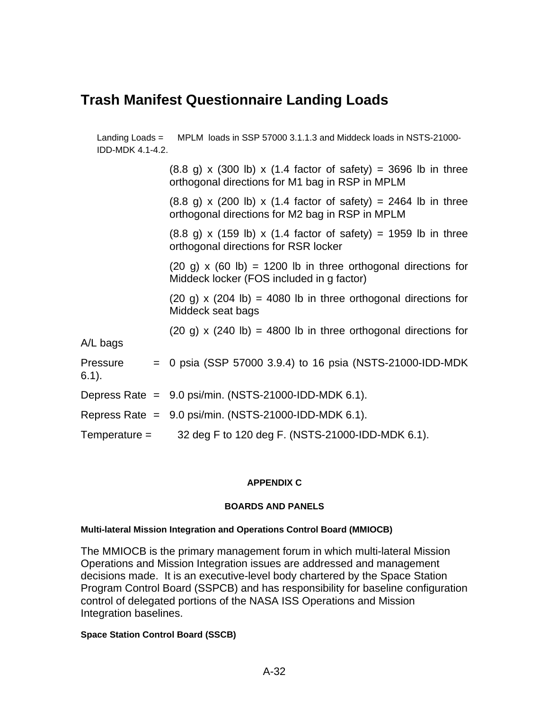# **Trash Manifest Questionnaire Landing Loads**

Landing Loads = MPLM loads in SSP 57000 3.1.1.3 and Middeck loads in NSTS-21000- IDD-MDK 4.1-4.2.  $(8.8 \text{ q}) \times (300 \text{ lb}) \times (1.4 \text{ factor of safety}) = 3696 \text{ lb in three}$ orthogonal directions for M1 bag in RSP in MPLM  $(8.8 \text{ g}) \times (200 \text{ lb}) \times (1.4 \text{ factor of safety}) = 2464 \text{ lb in three}$ orthogonal directions for M2 bag in RSP in MPLM  $(8.8 \text{ g}) \times (159 \text{ lb}) \times (1.4 \text{ factor of safety}) = 1959 \text{ lb in three}$ orthogonal directions for RSR locker  $(20 \text{ g}) \times (60 \text{ lb}) = 1200 \text{ lb}$  in three orthogonal directions for Middeck locker (FOS included in g factor)  $(20 \text{ q}) \times (204 \text{ lb}) = 4080 \text{ lb}$  in three orthogonal directions for Middeck seat bags (20 g) x (240 lb) = 4800 lb in three orthogonal directions for A/L bags Pressure  $= 0$  psia (SSP 57000 3.9.4) to 16 psia (NSTS-21000-IDD-MDK 6.1). Depress Rate =  $9.0$  psi/min. (NSTS-21000-IDD-MDK 6.1). Repress Rate =  $9.0$  psi/min. (NSTS-21000-IDD-MDK 6.1). Temperature  $=$  32 deg F to 120 deg F. (NSTS-21000-IDD-MDK 6.1).

#### **APPENDIX C**

#### **BOARDS AND PANELS**

#### **Multi-lateral Mission Integration and Operations Control Board (MMIOCB)**

The MMIOCB is the primary management forum in which multi-lateral Mission Operations and Mission Integration issues are addressed and management decisions made. It is an executive-level body chartered by the Space Station Program Control Board (SSPCB) and has responsibility for baseline configuration control of delegated portions of the NASA ISS Operations and Mission Integration baselines.

#### **Space Station Control Board (SSCB)**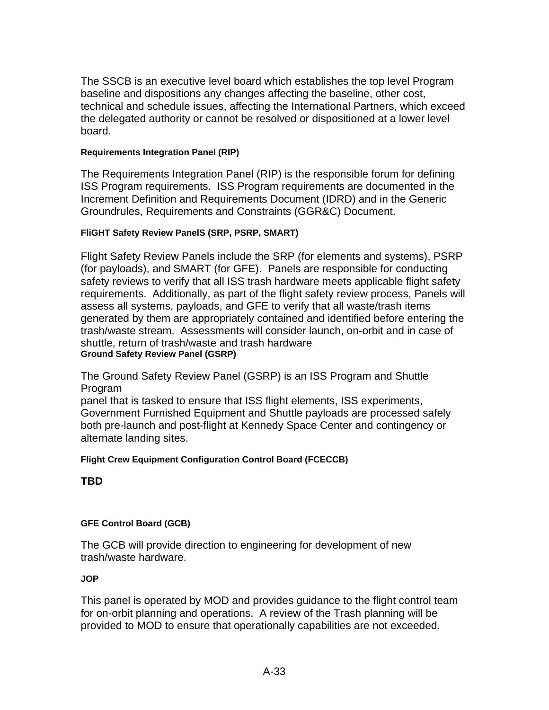The SSCB is an executive level board which establishes the top level Program baseline and dispositions any changes affecting the baseline, other cost, technical and schedule issues, affecting the International Partners, which exceed the delegated authority or cannot be resolved or dispositioned at a lower level board.

#### **Requirements Integration Panel (RIP)**

The Requirements Integration Panel (RIP) is the responsible forum for defining ISS Program requirements. ISS Program requirements are documented in the Increment Definition and Requirements Document (IDRD) and in the Generic Groundrules, Requirements and Constraints (GGR&C) Document.

#### **FliGHT Safety Review PanelS (SRP, PSRP, SMART)**

Flight Safety Review Panels include the SRP (for elements and systems), PSRP (for payloads), and SMART (for GFE). Panels are responsible for conducting safety reviews to verify that all ISS trash hardware meets applicable flight safety requirements. Additionally, as part of the flight safety review process, Panels will assess all systems, payloads, and GFE to verify that all waste/trash items generated by them are appropriately contained and identified before entering the trash/waste stream. Assessments will consider launch, on-orbit and in case of shuttle, return of trash/waste and trash hardware **Ground Safety Review Panel (GSRP)**

The Ground Safety Review Panel (GSRP) is an ISS Program and Shuttle Program

panel that is tasked to ensure that ISS flight elements, ISS experiments, Government Furnished Equipment and Shuttle payloads are processed safely both pre-launch and post-flight at Kennedy Space Center and contingency or alternate landing sites.

#### **Flight Crew Equipment Configuration Control Board (FCECCB)**

**TBD**

## **GFE Control Board (GCB)**

The GCB will provide direction to engineering for development of new trash/waste hardware.

## **JOP**

This panel is operated by MOD and provides guidance to the flight control team for on-orbit planning and operations. A review of the Trash planning will be provided to MOD to ensure that operationally capabilities are not exceeded.